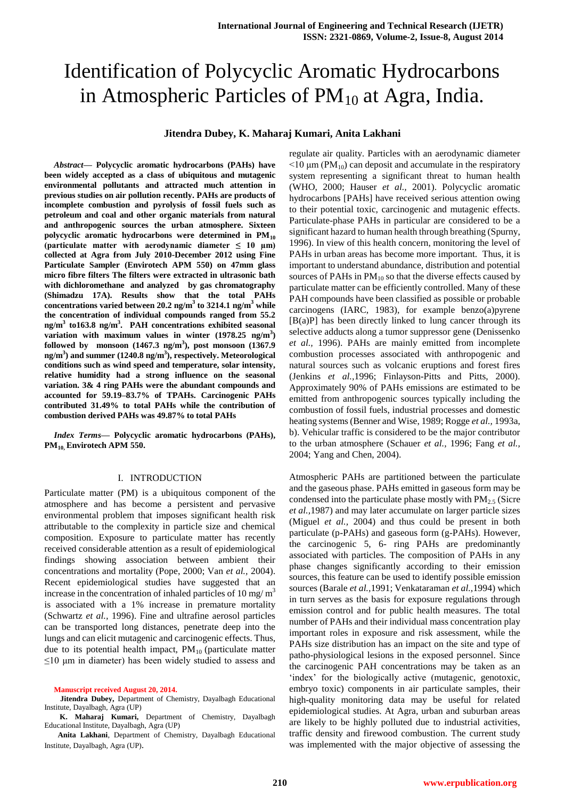# Identification of Polycyclic Aromatic Hydrocarbons in Atmospheric Particles of  $PM_{10}$  at Agra, India.

# **Jitendra Dubey, K. Maharaj Kumari, Anita Lakhani**

*Abstract***— Polycyclic aromatic hydrocarbons (PAHs) have been widely accepted as a class of ubiquitous and mutagenic environmental pollutants and attracted much attention in previous studies on air pollution recently. PAHs are products of incomplete combustion and pyrolysis of fossil fuels such as petroleum and coal and other organic materials from natural and anthropogenic sources the urban atmosphere. Sixteen polycyclic aromatic hydrocarbons were determined in PM<sup>10</sup> (particulate matter with aerodynamic diameter ≤ 10 µm) collected at Agra from July 2010-December 2012 using Fine Particulate Sampler (Envirotech APM 550) on 47mm glass micro fibre filters The filters were extracted in ultrasonic bath with dichloromethane and analyzed by gas chromatography (Shimadzu 17A). Results show that the total PAHs concentrations varied between 20.2 ng/m<sup>3</sup> to 3214.1 ng/m<sup>3</sup> while the concentration of individual compounds ranged from 55.2 ng/m<sup>3</sup> to163.8 ng/m<sup>3</sup> . PAH concentrations exhibited seasonal**  variation with maximum values in winter (1978.25 ng/m<sup>3</sup>) **followed by monsoon (1467.3 ng/m<sup>3</sup> ), post monsoon (1367.9 ng/m<sup>3</sup> ) and summer (1240.8 ng/m<sup>3</sup> ), respectively. Meteorological conditions such as wind speed and temperature, solar intensity, relative humidity had a strong influence on the seasonal variation. 3& 4 ring PAHs were the abundant compounds and accounted for 59.19–83.7% of TPAHs. Carcinogenic PAHs contributed 31.49% to total PAHs while the contribution of combustion derived PAHs was 49.87% to total PAHs**

*Index Terms***— Polycyclic aromatic hydrocarbons (PAHs), PM10, Envirotech APM 550.** 

#### I. INTRODUCTION

Particulate matter (PM) is a ubiquitous component of the atmosphere and has become a persistent and pervasive environmental problem that imposes significant health risk attributable to the complexity in particle size and chemical composition. Exposure to particulate matter has recently received considerable attention as a result of epidemiological findings showing association between ambient their concentrations and mortality (Pope, 2000; Van *et al.,* 2004). Recent epidemiological studies have suggested that an increase in the concentration of inhaled particles of 10 mg/ $m<sup>3</sup>$ is associated with a 1% increase in premature mortality (Schwartz *et al.,* 1996). Fine and ultrafine aerosol particles can be transported long distances, penetrate deep into the lungs and can elicit mutagenic and carcinogenic effects. Thus, due to its potential health impact,  $PM_{10}$  (particulate matter  $\leq$ 10 μm in diameter) has been widely studied to assess and

**Manuscript received August 20, 2014.**

**Jitendra Dubey,** Department of Chemistry, Dayalbagh Educational Institute, Dayalbagh, Agra (UP)

**K. Maharaj Kumari,** Department of Chemistry, Dayalbagh Educational Institute, Dayalbagh, Agra (UP)

**Anita Lakhani**, Department of Chemistry, Dayalbagh Educational Institute, Dayalbagh, Agra (UP).

regulate air quality. Particles with an aerodynamic diameter  $\leq$ 10 μm (PM<sub>10</sub>) can deposit and accumulate in the respiratory system representing a significant threat to human health (WHO, 2000; Hauser *et al.,* 2001). Polycyclic aromatic hydrocarbons [PAHs] have received serious attention owing to their potential toxic, carcinogenic and mutagenic effects. Particulate-phase PAHs in particular are considered to be a significant hazard to human health through breathing (Spurny, 1996). In view of this health concern, monitoring the level of PAHs in urban areas has become more important. Thus, it is important to understand abundance, distribution and potential sources of PAHs in  $PM_{10}$  so that the diverse effects caused by particulate matter can be efficiently controlled. Many of these PAH compounds have been classified as possible or probable carcinogens (IARC, 1983), for example benzo(a)pyrene  $[B(a)P]$  has been directly linked to lung cancer through its selective adducts along a tumor suppressor gene (Denissenko *et al.,* 1996). PAHs are mainly emitted from incomplete combustion processes associated with anthropogenic and natural sources such as volcanic eruptions and forest fires (Jenkins *et al.,*1996; Finlayson-Pitts and Pitts, 2000). Approximately 90% of PAHs emissions are estimated to be emitted from anthropogenic sources typically including the combustion of fossil fuels, industrial processes and domestic heating systems (Benner and Wise, 1989; Rogge *et al.,* 1993a, b). Vehicular traffic is considered to be the major contributor to the urban atmosphere (Schauer *et al.,* 1996; Fang *et al.,* 2004; Yang and Chen, 2004).

Atmospheric PAHs are partitioned between the particulate and the gaseous phase. PAHs emitted in gaseous form may be condensed into the particulate phase mostly with  $PM_{2.5}$  (Sicre *et al.,*1987) and may later accumulate on larger particle sizes (Miguel *et al.,* 2004) and thus could be present in both particulate (p-PAHs) and gaseous form (g-PAHs). However, the carcinogenic 5, 6- ring PAHs are predominantly associated with particles. The composition of PAHs in any phase changes significantly according to their emission sources, this feature can be used to identify possible emission sources (Barale *et al.,*1991; Venkataraman *et al.,*1994) which in turn serves as the basis for exposure regulations through emission control and for public health measures. The total number of PAHs and their individual mass concentration play important roles in exposure and risk assessment, while the PAHs size distribution has an impact on the site and type of patho-physiological lesions in the exposed personnel. Since the carcinogenic PAH concentrations may be taken as an 'index' for the biologically active (mutagenic, genotoxic, embryo toxic) components in air particulate samples, their high-quality monitoring data may be useful for related epidemiological studies. At Agra, urban and suburban areas are likely to be highly polluted due to industrial activities, traffic density and firewood combustion. The current study was implemented with the major objective of assessing the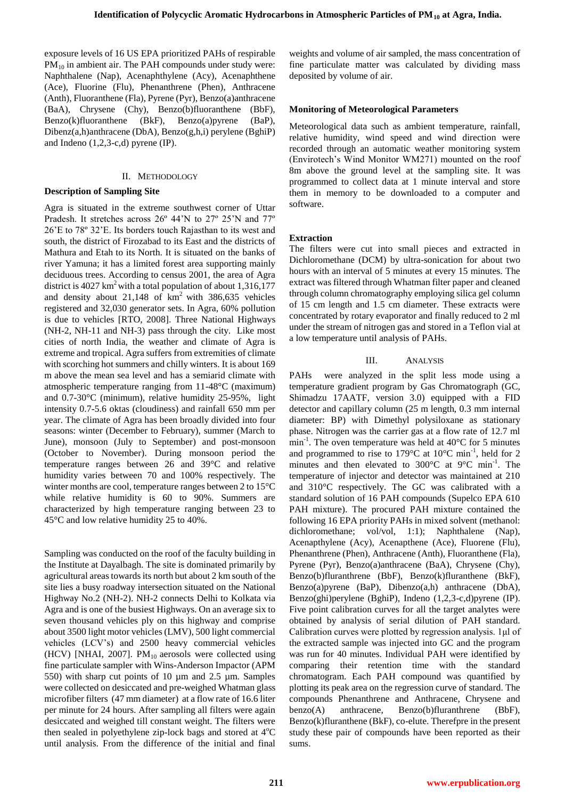exposure levels of 16 US EPA prioritized PAHs of respirable PM<sub>10</sub> in ambient air. The PAH compounds under study were: Naphthalene (Nap), Acenaphthylene (Acy), Acenaphthene (Ace), Fluorine (Flu), Phenanthrene (Phen), Anthracene (Anth), Fluoranthene (Fla), Pyrene (Pyr), Benzo(a)anthracene (BaA), Chrysene (Chy), Benzo(b)fluoranthene (BbF), Benzo(k)fluoranthene (BkF), Benzo(a)pyrene (BaP), Dibenz(a,h)anthracene (DbA), Benzo(g,h,i) perylene (BghiP) and Indeno  $(1,2,3-c,d)$  pyrene  $(IP)$ .

# II. METHODOLOGY

# **Description of Sampling Site**

Agra is situated in the extreme southwest corner of Uttar Pradesh. It stretches across 26º 44'N to 27º 25'N and 77º 26'E to 78º 32'E. Its borders touch Rajasthan to its west and south, the district of Firozabad to its East and the districts of Mathura and Etah to its North. It is situated on the banks of river Yamuna; it has a limited forest area supporting mainly deciduous trees. According to census 2001, the area of Agra district is  $4027 \text{ km}^2$  with a total population of about 1,316,177 and density about  $21,148$  of  $km^2$  with 386,635 vehicles registered and 32,030 generator sets. In Agra, 60% pollution is due to vehicles [RTO, 2008]. Three National Highways (NH-2, NH-11 and NH-3) pass through the city. Like most cities of north India, the weather and climate of Agra is extreme and tropical. Agra suffers from extremities of climate with scorching hot summers and chilly winters. It is about 169 m above the mean sea level and has a semiarid climate with atmospheric temperature ranging from 11-48°C (maximum) and 0.7-30°C (minimum), relative humidity 25-95%, light intensity 0.7-5.6 oktas (cloudiness) and rainfall 650 mm per year. The climate of Agra has been broadly divided into four seasons: winter (December to February), summer (March to June), monsoon (July to September) and post-monsoon (October to November). During monsoon period the temperature ranges between 26 and 39°C and relative humidity varies between 70 and 100% respectively. The winter months are cool, temperature ranges between 2 to 15°C while relative humidity is 60 to 90%. Summers are characterized by high temperature ranging between 23 to 45°C and low relative humidity 25 to 40%.

Sampling was conducted on the roof of the faculty building in the Institute at Dayalbagh. The site is dominated primarily by agricultural areas towards its north but about 2 km south of the site lies a busy roadway intersection situated on the National Highway No.2 (NH-2). NH-2 connects Delhi to Kolkata via Agra and is one of the busiest Highways. On an average six to seven thousand vehicles ply on this highway and comprise about 3500 light motor vehicles (LMV), 500 light commercial vehicles (LCV's) and 2500 heavy commercial vehicles (HCV) [NHAI, 2007].  $PM_{10}$  aerosols were collected using fine particulate sampler with Wins-Anderson Impactor (APM 550) with sharp cut points of 10 µm and 2.5 µm. Samples were collected on desiccated and pre-weighed Whatman glass microfiber filters (47 mm diameter) at a flow rate of 16.6 liter per minute for 24 hours. After sampling all filters were again desiccated and weighed till constant weight. The filters were then sealed in polyethylene zip-lock bags and stored at  $4^{\circ}C$ until analysis. From the difference of the initial and final

weights and volume of air sampled, the mass concentration of fine particulate matter was calculated by dividing mass deposited by volume of air.

# **Monitoring of Meteorological Parameters**

Meteorological data such as ambient temperature, rainfall, relative humidity, wind speed and wind direction were recorded through an automatic weather monitoring system (Envirotech's Wind Monitor WM271) mounted on the roof 8m above the ground level at the sampling site. It was programmed to collect data at 1 minute interval and store them in memory to be downloaded to a computer and software.

# **Extraction**

The filters were cut into small pieces and extracted in Dichloromethane (DCM) by ultra-sonication for about two hours with an interval of 5 minutes at every 15 minutes. The extract was filtered through Whatman filter paper and cleaned through column chromatography employing silica gel column of 15 cm length and 1.5 cm diameter. These extracts were concentrated by rotary evaporator and finally reduced to 2 ml under the stream of nitrogen gas and stored in a Teflon vial at a low temperature until analysis of PAHs.

# III. ANALYSIS

PAHs were analyzed in the split less mode using a temperature gradient program by Gas Chromatograph (GC, Shimadzu 17AATF, version 3.0) equipped with a FID detector and capillary column (25 m length, 0.3 mm internal diameter: BP) with Dimethyl polysiloxane as stationary phase. Nitrogen was the carrier gas at a flow rate of 12.7 ml  $min^{-1}$ . The oven temperature was held at 40°C for 5 minutes and programmed to rise to 179 $^{\circ}$ C at 10 $^{\circ}$ C min<sup>-1</sup>, held for 2 minutes and then elevated to 300°C at 9°C min<sup>-1</sup>. The temperature of injector and detector was maintained at 210 and 310°C respectively. The GC was calibrated with a standard solution of 16 PAH compounds (Supelco EPA 610 PAH mixture). The procured PAH mixture contained the following 16 EPA priority PAHs in mixed solvent (methanol: dichloromethane; vol/vol, 1:1); Naphthalene (Nap), Acenapthylene (Acy), Acenapthene (Ace), Fluorene (Flu), Phenanthrene (Phen), Anthracene (Anth), Fluoranthene (Fla), Pyrene (Pyr), Benzo(a)anthracene (BaA), Chrysene (Chy), Benzo(b)fluranthrene (BbF), Benzo(k)fluranthene (BkF), Benzo(a)pyrene (BaP), Dibenzo(a,h) anthracene (DbA), Benzo(ghi)perylene (BghiP), Indeno (1,2,3-c,d)pyrene (IP). Five point calibration curves for all the target analytes were obtained by analysis of serial dilution of PAH standard. Calibration curves were plotted by regression analysis. 1μl of the extracted sample was injected into GC and the program was run for 40 minutes. Individual PAH were identified by comparing their retention time with the standard chromatogram. Each PAH compound was quantified by plotting its peak area on the regression curve of standard. The compounds Phenanthrene and Anthracene, Chrysene and benzo(A) anthracene, Benzo(b)fluranthrene (BbF), Benzo(k)fluranthene (BkF), co-elute. Therefpre in the present study these pair of compounds have been reported as their sums.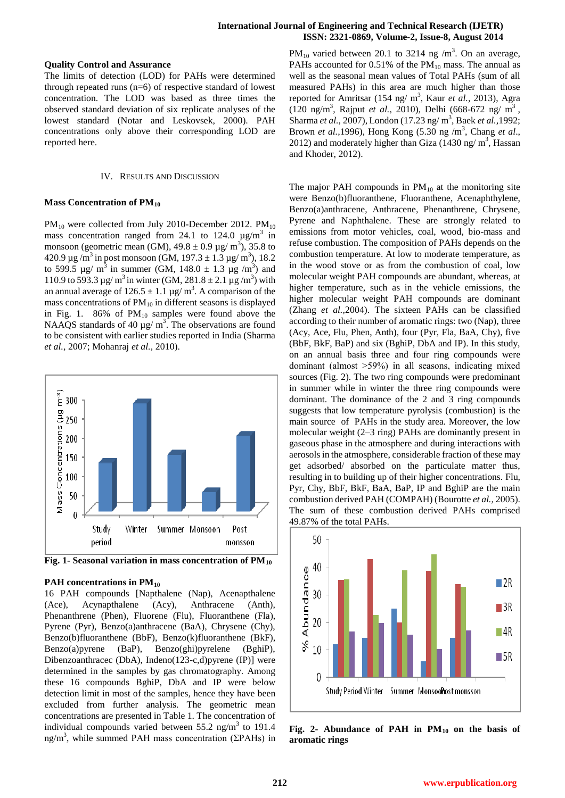## **International Journal of Engineering and Technical Research (IJETR) ISSN: 2321-0869, Volume-2, Issue-8, August 2014**

#### **Quality Control and Assurance**

The limits of detection (LOD) for PAHs were determined through repeated runs (n=6) of respective standard of lowest concentration. The LOD was based as three times the observed standard deviation of six replicate analyses of the lowest standard (Notar and Leskovsek, 2000). PAH concentrations only above their corresponding LOD are reported here.

#### IV. RESULTS AND DISCUSSION

#### **Mass Concentration of PM<sup>10</sup>**

 $PM_{10}$  were collected from July 2010-December 2012. PM<sub>10</sub> mass concentration ranged from 24.1 to 124.0  $\mu$ g/m<sup>3</sup> in monsoon (geometric mean (GM),  $49.8 \pm 0.9$  µg/ m<sup>3</sup>), 35.8 to 420.9 µg /m<sup>3</sup> in post monsoon (GM, 197.3 ± 1.3 µg/ m<sup>3</sup>), 18.2 to 599.5 µg/ m<sup>3</sup> in summer (GM, 148.0  $\pm$  1.3 µg /m<sup>3</sup>) and 110.9 to 593.3 µg/ m<sup>3</sup> in winter (GM, 281.8 ± 2.1 µg/m<sup>3</sup>) with an annual average of  $126.5 \pm 1.1$  µg/m<sup>3</sup>. A comparison of the mass concentrations of  $PM_{10}$  in different seasons is displayed in Fig. 1.  $86\%$  of  $PM_{10}$  samples were found above the NAAQS standards of 40  $\mu$ g/ m<sup>3</sup>. The observations are found to be consistent with earlier studies reported in India (Sharma *et al.,* 2007; Mohanraj *et al.,* 2010).



**Fig. 1- Seasonal variation in mass concentration of PM<sup>10</sup>**

## **PAH concentrations in PM<sup>10</sup>**

16 PAH compounds [Napthalene (Nap), Acenapthalene (Ace), Acynapthalene (Acy), Anthracene (Anth), Phenanthrene (Phen), Fluorene (Flu), Fluoranthene (Fla), Pyrene (Pyr), Benzo(a)anthracene (BaA), Chrysene (Chy), Benzo(b)fluoranthene (BbF), Benzo(k)fluoranthene (BkF), Benzo(a)pyrene (BaP), Benzo(ghi)pyrelene (BghiP), Dibenzoanthracec (DbA), Indeno(123-c,d)pyrene (IP)] were determined in the samples by gas chromatography. Among these 16 compounds BghiP, DbA and IP were below detection limit in most of the samples, hence they have been excluded from further analysis. The geometric mean concentrations are presented in Table 1. The concentration of individual compounds varied between  $55.2$  ng/m<sup>3</sup> to 191.4 ng/m<sup>3</sup>, while summed PAH mass concentration ( $\Sigma$ PAHs) in

PM<sub>10</sub> varied between 20.1 to 3214 ng /m<sup>3</sup>. On an average, PAHs accounted for 0.51% of the  $PM_{10}$  mass. The annual as well as the seasonal mean values of Total PAHs (sum of all measured PAHs) in this area are much higher than those reported for Amritsar (154 ng/ m<sup>3</sup>, Kaur *et al.*, 2013), Agra (120 ng/m<sup>3</sup> , Rajput *et al.,* 2010), Delhi (668-672 ng/ m<sup>3</sup> , Sharma *et al.*, 2007), London (17.23 ng/ m<sup>3</sup>, Baek *et al.*, 1992; Brown *et al.*, 1996), Hong Kong (5.30 ng /m<sup>3</sup>, Chang *et al.*, 2012) and moderately higher than Giza  $(1430 \text{ ng/m}^3)$ , Hassan and Khoder, 2012).

The major PAH compounds in  $PM_{10}$  at the monitoring site were Benzo(b)fluoranthene, Fluoranthene, Acenaphthylene, Benzo(a)anthracene, Anthracene, Phenanthrene, Chrysene, Pyrene and Naphthalene. These are strongly related to emissions from motor vehicles, coal, wood, bio-mass and refuse combustion. The composition of PAHs depends on the combustion temperature. At low to moderate temperature, as in the wood stove or as from the combustion of coal, low molecular weight PAH compounds are abundant, whereas, at higher temperature, such as in the vehicle emissions, the higher molecular weight PAH compounds are dominant (Zhang *et al.,*2004). The sixteen PAHs can be classified according to their number of aromatic rings: two (Nap), three (Acy, Ace, Flu, Phen, Anth), four (Pyr, Fla, BaA, Chy), five (BbF, BkF, BaP) and six (BghiP, DbA and IP). In this study, on an annual basis three and four ring compounds were dominant (almost ˃59%) in all seasons, indicating mixed sources (Fig. 2). The two ring compounds were predominant in summer while in winter the three ring compounds were dominant. The dominance of the 2 and 3 ring compounds suggests that low temperature pyrolysis (combustion) is the main source of PAHs in the study area. Moreover, the low molecular weight (2–3 ring) PAHs are dominantly present in gaseous phase in the atmosphere and during interactions with aerosols in the atmosphere, considerable fraction of these may get adsorbed/ absorbed on the particulate matter thus, resulting in to building up of their higher concentrations. Flu, Pyr, Chy, BbF, BkF, BaA, BaP, IP and BghiP are the main combustion derived PAH (COMPAH) (Bourotte *et al.,* 2005). The sum of these combustion derived PAHs comprised 49.87% of the total PAHs.



**Fig. 2- Abundance of PAH in PM<sup>10</sup> on the basis of aromatic rings**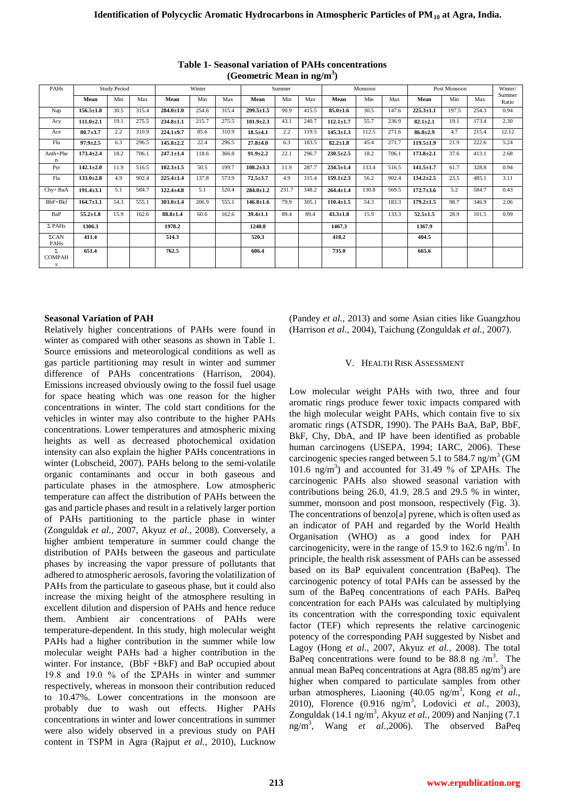| PAHs                    | <b>Study Period</b> |      |       | Winter          |       |       | Summer          |       |       | Monsoon         |       |       | Post Monsoon    |       |       | Winter/<br>Summer |
|-------------------------|---------------------|------|-------|-----------------|-------|-------|-----------------|-------|-------|-----------------|-------|-------|-----------------|-------|-------|-------------------|
|                         | Mean                | Min  | Max   | Mean            | Min   | Max   | Mean            | Min   | Max   | Mean            | Min   | Max   | Mean            | Min   | Max   | Ratio             |
| Nap                     | $156.5 \pm 1.8$     | 30.5 | 315.4 | $284.0 \pm 1.0$ | 254.6 | 315.4 | $299.5 \pm 1.5$ | 90.9  | 415.5 | $85.0{\pm}1.6$  | 30.5  | 147.6 | $225.3 \pm 1.1$ | 197.5 | 254.3 | 0.94              |
| Acy                     | $111.0 \pm 2.1$     | 19.1 | 275.5 | $234.8 \pm 1.1$ | 215.7 | 275.5 | $101.9{\pm}2.3$ | 43.1  | 240.7 | $112.1 \pm 1.7$ | 55.7  | 236.9 | $82.1 \pm 2.1$  | 19.1  | 173.4 | 2.30              |
| Ace                     | $80.7 + 3.7$        | 2.2  | 310.9 | $224.1 \pm 9.7$ | 85.6  | 310.9 | $18.5 + 4.1$    | 2.2   | 119.5 | $145.3 \pm 1.3$ | 112.5 | 271.6 | $86.8{\pm}2.9$  | 4.7   | 215.4 | 12.12             |
| Flu                     | $97.9 \pm 2.5$      | 6.3  | 296.5 | $145.8 \pm 2.2$ | 22.4  | 296.5 | $27.8 + 4.0$    | 6.3   | 183.5 | $82.2 \pm 1.8$  | 45.4  | 271.7 | $119.5 \pm 1.9$ | 21.9  | 222.6 | 5.24              |
| Anth+Phe                | $173.4 + 2.4$       | 18.2 | 706.1 | $247.1 \pm 1.4$ | 118.6 | 366.8 | $91.9 \pm 2.2$  | 22.1  | 296.7 | $230.5 \pm 2.5$ | 18.2  | 706.1 | $173.8 \pm 2.1$ | 37.6  | 413.1 | 2.68              |
| Pyr                     | $142.1 \pm 2.0$     | 11.9 | 516.5 | $102.3 \pm 1.5$ | 50.5  | 199.7 | $108.2{\pm}3.3$ | 11.9  | 287.7 | $234.5 \pm 1.4$ | 133.4 | 516.5 | $141.5 \pm 1.7$ | 61.7  | 328.8 | 0.94              |
| Fla                     | $133.0 \pm 2.8$     | 4.9  | 902.4 | $225.4 \pm 1.4$ | 137.8 | 573.9 | $72.5 \pm 3.7$  | 4.9   | 315.4 | $159.1 \pm 2.3$ | 56.2  | 902.4 | $134.2 \pm 2.5$ | 23.5  | 485.1 | 3.11              |
| Chy+ BaA                | $191.4 \pm 3.1$     | 5.1  | 584.7 | $122.4 + 4.8$   | 5.1   | 520.4 | $284.0 \pm 1.2$ | 231.7 | 348.2 | $264.4 \pm 1.4$ | 130.8 | 569.5 | $172.7 \pm 3.6$ | 5.2   | 584.7 | 0.43              |
| BbF+Bkf                 | $164.7 \pm 1.1$     | 54.3 | 555.1 | $303.0 \pm 1.4$ | 206.9 | 555.1 | $146.8 \pm 1.6$ | 79.9  | 305.1 | $110.4 \pm 1.5$ | 54.3  | 183.3 | $179.2 \pm 1.5$ | 98.7  | 346.9 | 2.06              |
| BaP                     | $55.2 \pm 1.8$      | 15.9 | 162.6 | $88.8 + 1.4$    | 60.6  | 162.6 | $39.4 \pm 1.1$  | 89.4  | 89.4  | $43.3 \pm 1.8$  | 15.9  | 133.3 | $52.5 \pm 1.5$  | 28.9  | 101.5 | 0.99              |
| $\Sigma$ PAHs           | 1306.3              |      |       | 1978.2          |       |       | 1240.8          |       |       | 1467.3          |       |       | 1367.9          |       |       |                   |
| $\Sigma$ CAN<br>PAHs    | 411.4               |      |       | 514.3           |       |       | 520.3           |       |       | 418.2           |       |       | 404.5           |       |       |                   |
| Σ<br><b>COMPAH</b><br>s | 651.4               |      |       | 762.5           |       |       | 606.4           |       |       | 735.0           |       |       | 665.6           |       |       |                   |

**Table 1- Seasonal variation of PAHs concentrations (Geometric Mean in ng/m<sup>3</sup> )**

# **Seasonal Variation of PAH**

Relatively higher concentrations of PAHs were found in winter as compared with other seasons as shown in Table 1. Source emissions and meteorological conditions as well as gas particle partitioning may result in winter and summer difference of PAHs concentrations (Harrison, 2004). Emissions increased obviously owing to the fossil fuel usage for space heating which was one reason for the higher concentrations in winter. The cold start conditions for the vehicles in winter may also contribute to the higher PAHs concentrations. Lower temperatures and atmospheric mixing heights as well as decreased photochemical oxidation intensity can also explain the higher PAHs concentrations in winter (Lobscheid, 2007). PAHs belong to the semi-volatile organic contaminants and occur in both gaseous and particulate phases in the atmosphere. Low atmospheric temperature can affect the distribution of PAHs between the gas and particle phases and result in a relatively larger portion of PAHs partitioning to the particle phase in winter (Zonguldak *et al.,* 2007, Akyuz *et al.,* 2008). Conversely, a higher ambient temperature in summer could change the distribution of PAHs between the gaseous and particulate phases by increasing the vapor pressure of pollutants that adhered to atmospheric aerosols, favoring the volatilization of PAHs from the particulate to gaseous phase, but it could also increase the mixing height of the atmosphere resulting in excellent dilution and dispersion of PAHs and hence reduce them. Ambient air concentrations of PAHs were temperature-dependent. In this study, high molecular weight PAHs had a higher contribution in the summer while low molecular weight PAHs had a higher contribution in the winter. For instance, (BbF +BkF) and BaP occupied about 19.8 and 19.0 % of the ΣPAHs in winter and summer respectively, whereas in monsoon their contribution reduced to 10.47%. Lower concentrations in the monsoon are probably due to wash out effects. Higher PAHs concentrations in winter and lower concentrations in summer were also widely observed in a previous study on PAH content in TSPM in Agra (Rajput *et al.,* 2010), Lucknow

(Pandey *et al.,* 2013) and some Asian cities like Guangzhou (Harrison *et al.,* 2004), Taichung (Zonguldak *et al.,* 2007).

# V. HEALTH RISK ASSESSMENT

Low molecular weight PAHs with two, three and four aromatic rings produce fewer toxic impacts compared with the high molecular weight PAHs, which contain five to six aromatic rings (ATSDR, 1990). The PAHs BaA, BaP, BbF, BkF, Chy, DbA, and IP have been identified as probable human carcinogens (USEPA, 1994; IARC, 2006). These carcinogenic species ranged between 5.1 to 584.7 ng/m<sup>3</sup> (GM 101.6 ng/m<sup>3</sup>) and accounted for 31.49 % of  $\Sigma$ PAHs. The carcinogenic PAHs also showed seasonal variation with contributions being 26.0, 41.9, 28.5 and 29.5 % in winter, summer, monsoon and post monsoon, respectively (Fig. 3). The concentrations of benzo[a] pyrene, which is often used as an indicator of PAH and regarded by the World Health Organisation (WHO) as a good index for PAH carcinogenicity, were in the range of 15.9 to 162.6 ng/m<sup>3</sup>. In principle, the health risk assessment of PAHs can be assessed based on its BaP equivalent concentration (BaPeq). The carcinogenic potency of total PAHs can be assessed by the sum of the BaPeq concentrations of each PAHs. BaPeq concentration for each PAHs was calculated by multiplying its concentration with the corresponding toxic equivalent factor (TEF) which represents the relative carcinogenic potency of the corresponding PAH suggested by Nisbet and Lagoy (Hong *et al.,* 2007, Akyuz *et al.,* 2008). The total BaPeq concentrations were found to be 88.8 ng  $/m<sup>3</sup>$ . The annual mean BaPeq concentrations at Agra (88.85 ng/m<sup>3</sup>) are higher when compared to particulate samples from other urban atmospheres, Liaoning (40.05 ng/m<sup>3</sup> , Kong *et al.,* 2010), Florence (0.916 ng/m<sup>3</sup> , Lodovici *et al.,* 2003), Zonguldak (14.1 ng/m<sup>3</sup>, Akyuz *et al.*, 2009) and Nanjing (7.1) ng/m<sup>3</sup> , Wang *et al.,*2006). The observed BaPeq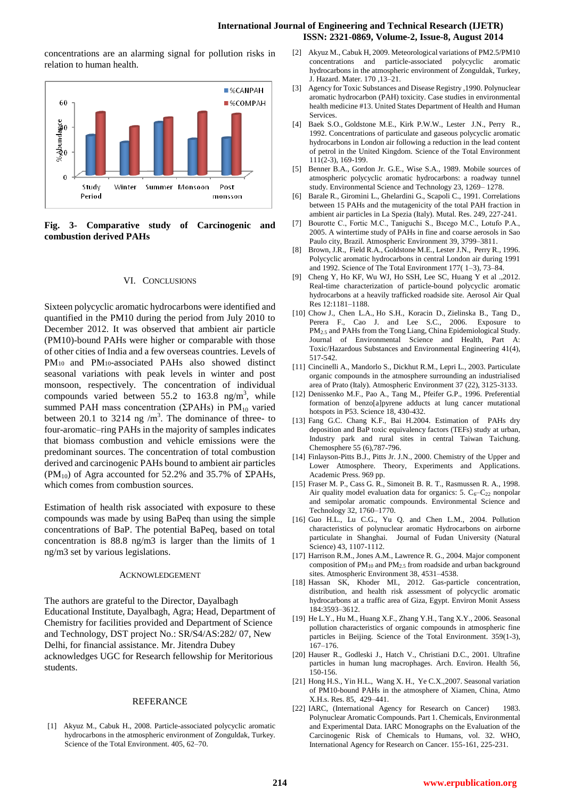## **International Journal of Engineering and Technical Research (IJETR) ISSN: 2321-0869, Volume-2, Issue-8, August 2014**

concentrations are an alarming signal for pollution risks in relation to human health.



**Fig. 3- Comparative study of Carcinogenic and combustion derived PAHs**

#### VI. CONCLUSIONS

Sixteen polycyclic aromatic hydrocarbons were identified and quantified in the PM10 during the period from July 2010 to December 2012. It was observed that ambient air particle (PM10)-bound PAHs were higher or comparable with those of other cities of India and a few overseas countries. Levels of PM10 and PM10-associated PAHs also showed distinct seasonal variations with peak levels in winter and post monsoon, respectively. The concentration of individual compounds varied between 55.2 to 163.8 ng/m<sup>3</sup>, while summed PAH mass concentration ( $\Sigma$ PAHs) in PM<sub>10</sub> varied between 20.1 to 3214 ng  $/m<sup>3</sup>$ . The dominance of three- to four-aromatic–ring PAHs in the majority of samples indicates that biomass combustion and vehicle emissions were the predominant sources. The concentration of total combustion derived and carcinogenic PAHs bound to ambient air particles (PM<sub>10</sub>) of Agra accounted for 52.2% and 35.7% of  $\Sigma$ PAHs, which comes from combustion sources.

Estimation of health risk associated with exposure to these compounds was made by using BaPeq than using the simple concentrations of BaP. The potential BaPeq, based on total concentration is 88.8 ng/m3 is larger than the limits of 1 ng/m3 set by various legislations.

#### ACKNOWLEDGEMENT

The authors are grateful to the Director, Dayalbagh Educational Institute, Dayalbagh, Agra; Head, Department of Chemistry for facilities provided and Department of Science and Technology, DST project No.: SR/S4/AS:282/ 07, New Delhi, for financial assistance. Mr. Jitendra Dubey acknowledges UGC for Research fellowship for Meritorious students.

#### REFERANCE

[1] Akyuz M., Cabuk H., 2008. Particle-associated polycyclic aromatic hydrocarbons in the atmospheric environment of Zonguldak, Turkey. Science of the Total Environment. 405, 62–70.

- [2] Akyuz M., Cabuk H, 2009. Meteorological variations of PM2.5/PM10 concentrations and particle-associated polycyclic aromatic hydrocarbons in the atmospheric environment of Zonguldak, Turkey, J. Hazard. Mater. 170 ,13–21.
- [3] Agency for Toxic Substances and Disease Registry ,1990. Polynuclear aromatic hydrocarbon (PAH) toxicity. Case studies in environmental health medicine #13. United States Department of Health and Human **Services**
- [4] [Baek](http://www.sciencedirect.com/science/article/pii/004896979290354U) S.O., [Goldstone](http://www.sciencedirect.com/science/article/pii/004896979290354U) M.E., [Kirk](http://www.sciencedirect.com/science/article/pii/004896979290354U) P.W.W., [Lester](http://www.sciencedirect.com/science/article/pii/004896979290354U) J.N., [Perry](http://www.sciencedirect.com/science/article/pii/004896979290354U) R., 1992. Concentrations of particulate and gaseous polycyclic aromatic hydrocarbons in London air following a reduction in the lead content of petrol in the United Kingdom. Science of the Total Environment 111(2-3), 169-199.
- [5] Benner B.A., Gordon Jr. G.E., Wise S.A., 1989. Mobile sources of atmospheric polycyclic aromatic hydrocarbons: a roadway tunnel study. Environmental Science and Technology 23, 1269– 1278.
- [6] Barale R., Giromini L., Ghelardini G., Scapoli C., 1991. Correlations between 15 PAHs and the mutagenicity of the total PAH fraction in ambient air particles in La Spezia (Italy). Mutal. Res. 249, 227-241.
- [7] Bourotte C., Fortic M.C., Taniguchi S., Bıcego M.C., Lotufo P.A., 2005. A wintertime study of PAHs in fine and coarse aerosols in Sao Paulo city, Brazil. Atmospheric Environment 39, 3799–3811.
- [8] Brown, J.R., Field R.A., Goldstone M.E., Lester J.N., Perry R., 1996. Polycyclic aromatic hydrocarbons in central London air during 1991 and 1992. Science of The Total Environment 177( 1–3), 73–84.
- [9] Cheng Y, Ho KF, Wu WJ, Ho SSH, Lee SC, Huang Y et al .,2012. Real-time characterization of particle-bound polycyclic aromatic hydrocarbons at a heavily trafficked roadside site. Aerosol Air Qual Res 12:1181–1188.
- [10] Chow J., Chen L.A., Ho S.H., Koracin D., Zielinska B., Tang D., Perera F., Cao J. and Lee S.C., 2006. Exposure to PM2.5 and PAHs from the Tong Liang, China Epidemiological Study. Journal of Environmental Science and Health, Part A: Toxic/Hazardous Substances and Environmental Engineering 41(4), 517-542.
- [11] Cincinelli A., Mandorlo S., Dickhut R.M., Lepri L., 2003. Particulate organic compounds in the atmosphere surrounding an industrialised area of Prato (Italy). Atmospheric Environment 37 (22), 3125-3133.
- [12] Denissenko M.F., Pao A., Tang M., Pfeifer G.P., 1996. Preferential formation of benzo[a]pyrene adducts at lung cancer mutational hotspots in P53. Science 18, 430-432.
- [13] Fang G.C. Chang K.F., Bai H.2004. Estimation of PAHs dry deposition and BaP toxic equivalency factors (TEFs) study at urban, Industry park and rural sites in central Taiwan Taichung. Chemosphere 55 (6),787-796.
- [14] Finlayson-Pitts B.J., Pitts Jr. J.N., 2000. Chemistry of the Upper and Lower Atmosphere. Theory, Experiments and Applications. Academic Press. 969 pp.
- [15] Fraser M. P., Cass G. R., Simoneit B. R. T., Rasmussen R. A., 1998. Air quality model evaluation data for organics: 5.  $C_6-C_2$  nonpolar and semipolar aromatic compounds. Environmental Science and Technology 32, 1760–1770.
- [16] Guo H.L., Lu C.G., Yu Q. and Chen L.M., 2004. Pollution characteristics of polynuclear aromatic Hydrocarbons on airborne particulate in Shanghai. Journal of Fudan University (Natural Science) 43, 1107-1112.
- [17] Harrison R.M., Jones A.M., Lawrence R. G., 2004. Major component composition of PM<sub>10</sub> and PM<sub>2.5</sub> from roadside and urban background sites. Atmospheric Environment 38, 4531–4538.
- [18] Hassan SK, Khoder MI., 2012. Gas-particle concentration, distribution, and health risk assessment of polycyclic aromatic hydrocarbons at a traffic area of Giza, Egypt. Environ Monit Assess 184:3593–3612.
- [19] He L.Y., Hu M., Huang X.F., Zhang Y.H., Tang X.Y., 2006. Seasonal pollution characteristics of organic compounds in atmospheric fine particles in Beijing. Science of the Total Environment. 359(1-3), 167–176.
- [20] Hauser R., Godleski J., Hatch V., Christiani D.C., 2001. Ultrafine particles in human lung macrophages. Arch. Environ. Health 56, 150-156.
- [21] Hong H.S., Yin H.L., Wang X. H., Ye C.X.,2007. Seasonal variation of PM10-bound PAHs in the atmosphere of Xiamen, China, Atmo X.H.s. Res. 85, 429–441.
- [22] IARC, (International Agency for Research on Cancer) 1983. Polynuclear Aromatic Compounds. Part 1. Chemicals, Environmental and Experimental Data. IARC Monographs on the Evaluation of the Carcinogenic Risk of Chemicals to Humans, vol. 32. WHO, International Agency for Research on Cancer. 155-161, 225-231.